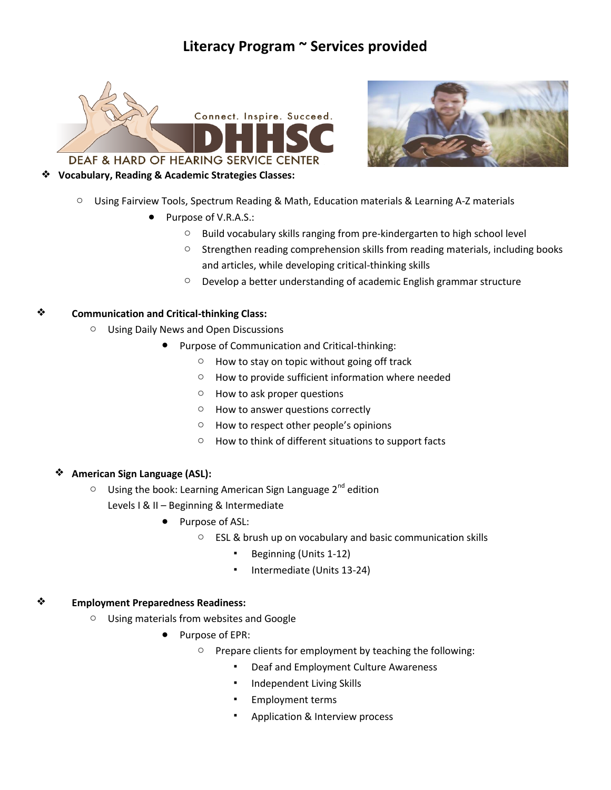# **Literacy Program ~ Services provided**





## ❖ **Vocabulary, Reading & Academic Strategies Classes:**

- $\circ$  Using Fairview Tools, Spectrum Reading & Math, Education materials & Learning A-Z materials
	- Purpose of V.R.A.S.:
		- o Build vocabulary skills ranging from pre-kindergarten to high school level
		- $\circ$  Strengthen reading comprehension skills from reading materials, including books and articles, while developing critical-thinking skills
		- o Develop a better understanding of academic English grammar structure

### ❖ **Communication and Critical-thinking Class:**

- o Using Daily News and Open Discussions
	- Purpose of Communication and Critical-thinking:
		- $\circ$  How to stay on topic without going off track
		- o How to provide sufficient information where needed
		- o How to ask proper questions
		- o How to answer questions correctly
		- o How to respect other people's opinions
		- o How to think of different situations to support facts

## ❖ **American Sign Language (ASL):**

- $\circ$  Using the book: Learning American Sign Language 2<sup>nd</sup> edition
	- Levels I & II Beginning & Intermediate
		- Purpose of ASL:
			- ESL & brush up on vocabulary and basic communication skills
				- Beginning (Units 1-12)
				- Intermediate (Units 13-24)

#### ❖ **Employment Preparedness Readiness:**

- o Using materials from websites and Google
	- Purpose of EPR:
		- o Prepare clients for employment by teaching the following:
			- Deaf and Employment Culture Awareness
			- Independent Living Skills
			- **Employment terms**
			- Application & Interview process